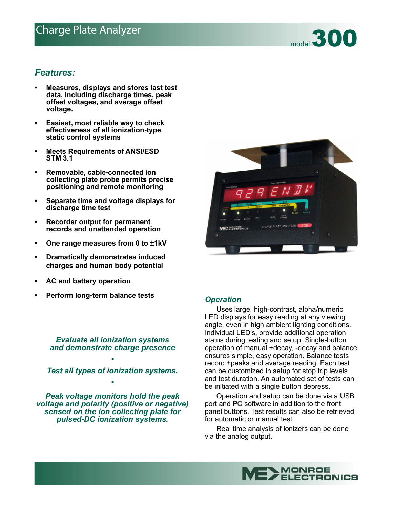# Charge Plate Analyzer<br>
The Charge Plate Analyzer<br>
The Charge Plate Analyzer



- **Measures, displays and stores last test data, including discharge times, peak offset voltages, and average offset voltage.**
- **Easiest, most reliable way to check effectiveness of all ionization-type static control systems**
- **Meets Requirements of ANSI/ESD STM 3.1**
- **Removable, cable-connected ion collecting plate probe permits precise positioning and remote monitoring**
- **Separate time and voltage displays for discharge time test**
- **Recorder output for permanent records and unattended operation**
- **One range measures from 0 to ±1kV**
- **Dramatically demonstrates induced charges and human body potential**
- **AC and battery operation**
- **Perform long-term balance tests** *Operation*

*Evaluate all ionization systems and demonstrate charge presence*

*• Test all types of ionization systems. •*

*Peak voltage monitors hold the peak voltage and polarity (positive or negative) sensed on the ion collecting plate for pulsed-DC ionization systems.*



 Uses large, high-contrast, alpha/numeric LED displays for easy reading at any viewing angle, even in high ambient lighting conditions. Individual LED's, provide additional operation status during testing and setup. Single-button operation of manual +decay, -decay and balance ensures simple, easy operation. Balance tests record ±peaks and average reading. Each test can be customized in setup for stop trip levels and test duration. An automated set of tests can be initiated with a single button depress.

 Operation and setup can be done via a USB port and PC software in addition to the front panel buttons. Test results can also be retrieved for automatic or manual test.

 Real time analysis of ionizers can be done via the analog output.